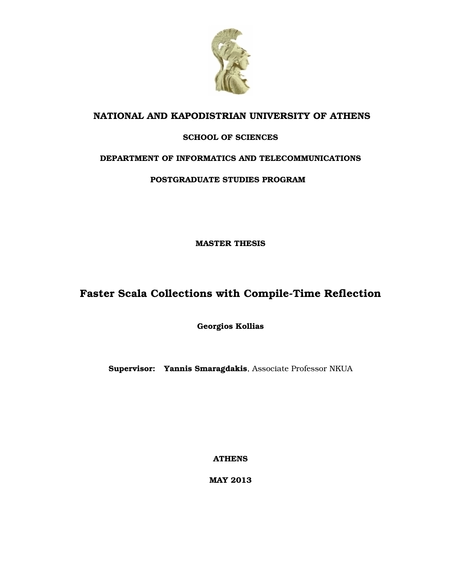

### **NATIONAL AND KAPODISTRIAN UNIVERSITY OF ATHENS**

#### **SCHOOL OF SCIENCES**

#### **DEPARTMENT OF INFORMATICS AND TELECOMMUNICATIONS**

#### **POSTGRADUATE STUDIES PROGRAM**

**MASTER THESIS**

### **Faster Scala Collections with Compile-Time Reflection**

**Georgios Kollias**

**Supervisor: Yannis Smaragdakis**, Associate Professor NKUA

**ATHENS**

**MAY 2013**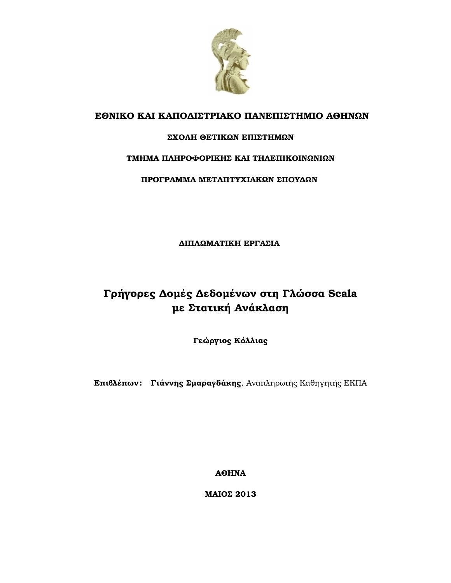

### **ΕΘΝΙΚΟ ΚΑΙ ΚΑΠΟ∆ΙΣΤΡΙΑΚΟ ΠΑΝΕΠΙΣΤΗΜΙΟ ΑΘΗΝΩΝ**

#### **ΣΧΟΛΗ ΘΕΤΙΚΩΝ ΕΠΙΣΤΗΜΩΝ**

#### **ΤΜΗΜΑ ΠΛΗΡΟΦΟΡΙΚΗΣ ΚΑΙ ΤΗΛΕΠΙΚΟΙΝΩΝΙΩΝ**

#### **ΠΡΟΓΡΑΜΜΑ ΜΕΤΑΠΤΥΧΙΑΚΩΝ ΣΠΟΥ∆ΩΝ**

**∆ΙΠΛΩΜΑΤΙΚΗ ΕΡΓΑΣΙΑ**

### **Γρήγορες ∆οµές ∆εδοµένων στη Γλώσσα Scala µε Στατική Ανάκλαση**

**Γεώργιος Κόλλιας**

**Επιβλέπων : Γιάννης Σµαραγδάκης**, Αναπληρωτής Καθηγητής ΕΚΠΑ

**ΑΘΗΝΑ**

**ΜΑΙΟΣ 2013**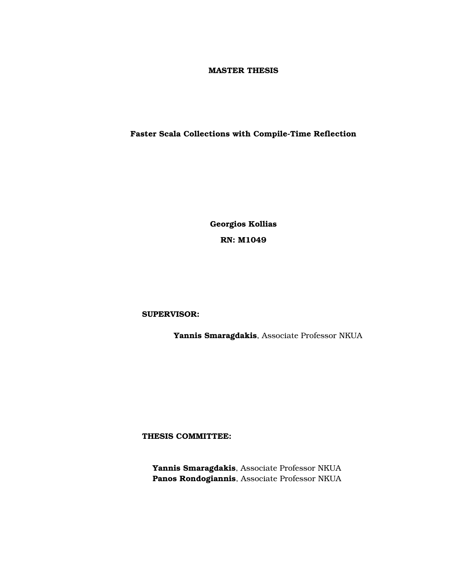#### **MASTER THESIS**

#### **Faster Scala Collections with Compile-Time Reflection**

**Georgios Kollias RN: Μ1049**

**SUPERVISOR:**

**Yannis Smaragdakis**, Associate Professor NKUA

**THESIS COMMITTEE:**

**Yannis Smaragdakis**, Associate Professor NKUA **Panos Rondogiannis**, Associate Professor NKUA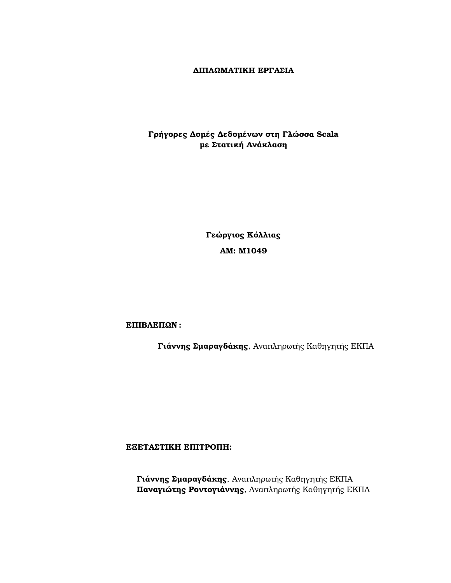#### **∆ΙΠΛΩΜΑΤΙΚΗ ΕΡΓΑΣΙΑ**

#### **Γρήγορες ∆οµές ∆εδοµένων στη Γλώσσα Scala µε Στατική Ανάκλαση**

**Γεώργιος Κόλλιας ΑΜ: Μ1049**

**ΕΠΙΒΛΕΠΩΝ :**

**Γιάννης Σµαραγδάκης**, Αναπληρωτής Καθηγητής ΕΚΠΑ

**ΕΞΕΤΑΣΤΙΚΗ ΕΠΙΤΡΟΠΗ:**

**Γιάννης Σµαραγδάκης**, Αναπληρωτής Καθηγητής ΕΚΠΑ **Παναγιώτης Ροντογιάννης**, Αναπληρωτής Καθηγητής ΕΚΠΑ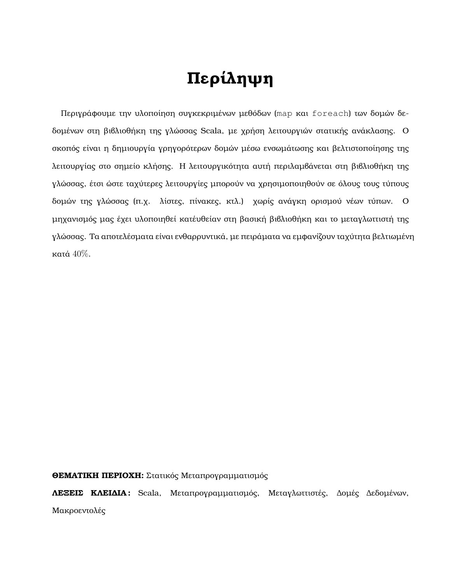# **Περίληψη**

Περιγράφουµε την υλοποίηση συγκεκριµένων µεθόδων (map και foreach) των δοµών δεδοµένων στη ϐιβλιοθήκη της γλώσσας Scala, µε χρήση λειτουργιών στατικής ανάκλασης. Ο σκοπός είναι η δηµιουργία γρηγορότερων δοµών µέσω ενσωµάτωσης και ϐελτιστοποίησης της λειτουργίας στο σηµείο κλήσης. Η λειτουργικότητα αυτή περιλαµβάνεται στη ϐιβλιοθήκη της γλώσσας, έτσι ώστε ταχύτερες λειτουργίες µπορούν να χρησιµοποιηθούν σε όλους τους τύπους δοµών της γλώσσας (π.χ. λίστες, πίνακες, κτλ.) χωρίς ανάγκη ορισµού νέων τύπων. Ο µηχανισµός µας έχει υλοποιηθεί κατέυθείαν στη ϐασική ϐιβλιοθήκη και το µεταγλωττιστή της γλώσσας. Τα αποτελέσµατα είναι ενθαρρυντικά, µε πειράµατα να εµφανίζουν ταχύτητα ϐελτιωµένη κατά 40%.

**ΘΕΜΑΤΙΚΗ ΠΕΡΙΟΧΗ:** Στατικός Μεταπρογραµµατισµός

**ΛΕΞΕΙΣ ΚΛΕΙ∆ΙΑ :** Scala, Μεταπρογραµµατισµός, Μεταγλωττιστές, ∆οµές ∆εδοµένων, Μακροεντολές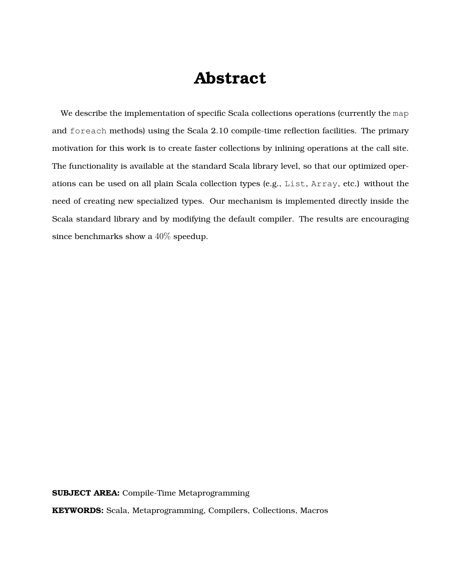## **Abstract**

We describe the implementation of specific Scala collections operations (currently the map and foreach methods) using the Scala 2.10 compile-time reflection facilities. The primary motivation for this work is to create faster collections by inlining operations at the call site. The functionality is available at the standard Scala library level, so that our optimized operations can be used on all plain Scala collection types (e.g., List, Array, etc.) without the need of creating new specialized types. Our mechanism is implemented directly inside the Scala standard library and by modifying the default compiler. The results are encouraging since benchmarks show a  $40\%$  speedup.

**SUBJECT AREA:** Compile-Time Metaprogramming

**KEYWORDS:** Scala, Metaprogramming, Compilers, Collections, Macros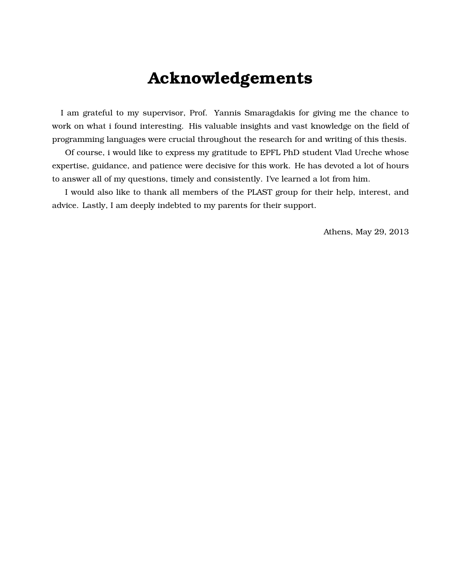## **Acknowledgements**

I am grateful to my supervisor, Prof. Yannis Smaragdakis for giving me the chance to work on what i found interesting. His valuable insights and vast knowledge on the field of programming languages were crucial throughout the research for and writing of this thesis.

Of course, i would like to express my gratitude to EPFL PhD student Vlad Ureche whose expertise, guidance, and patience were decisive for this work. He has devoted a lot of hours to answer all of my questions, timely and consistently. I've learned a lot from him.

I would also like to thank all members of the PLAST group for their help, interest, and advice. Lastly, I am deeply indebted to my parents for their support.

Athens, May 29, 2013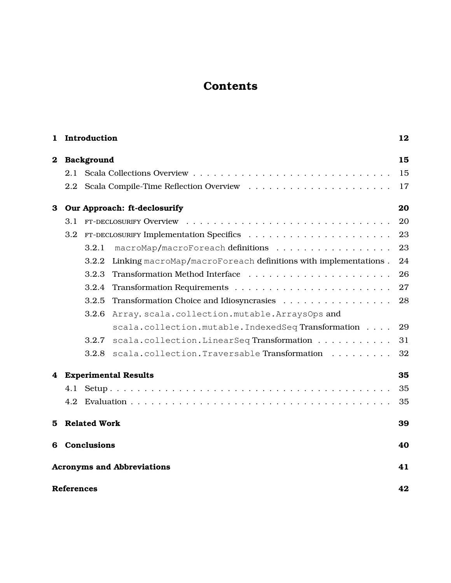### **Contents**

| 1        |                   | Introduction        |                                                                 | 12 |
|----------|-------------------|---------------------|-----------------------------------------------------------------|----|
| $\bf{2}$ |                   | Background          |                                                                 | 15 |
|          | 2.1               |                     |                                                                 | 15 |
|          | 2.2               |                     |                                                                 | 17 |
| 3        |                   |                     | Our Approach: ft-declosurify                                    | 20 |
|          | 3.1               |                     |                                                                 | 20 |
|          | 3.2               |                     |                                                                 | 23 |
|          |                   | 3.2.1               | macroMap/macroForeach definitions                               | 23 |
|          |                   | 3.2.2               | Linking macroMap/macroForeach definitions with implementations. | 24 |
|          |                   | 3.2.3               |                                                                 | 26 |
|          |                   | 3.2.4               |                                                                 | 27 |
|          |                   | 3.2.5               | Transformation Choice and Idiosyncrasies                        | 28 |
|          |                   | 3.2.6               | Array, scala.collection.mutable.ArraysOps and                   |    |
|          |                   |                     | scala.collection.mutable.IndexedSeqTransformation               | 29 |
|          |                   | 3.2.7               | scala.collection.LinearSeqTransformation                        | 31 |
|          |                   | 3.2.8               | scala.collection.TraversableTransformation                      | 32 |
| 4        |                   |                     | <b>Experimental Results</b>                                     | 35 |
|          | 4.1               |                     |                                                                 | 35 |
|          | 4.2               |                     |                                                                 | 35 |
| 5.       |                   | <b>Related Work</b> |                                                                 | 39 |
| 6        |                   | Conclusions         |                                                                 | 40 |
|          |                   |                     | <b>Acronyms and Abbreviations</b>                               | 41 |
|          | <b>References</b> |                     |                                                                 | 42 |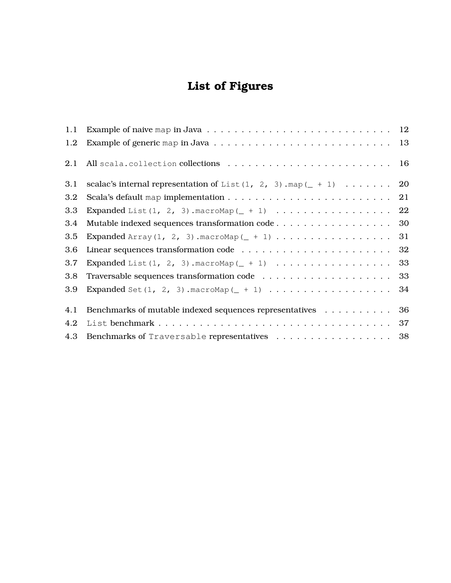## **List of Figures**

| 1.1 |                                                                         |    |
|-----|-------------------------------------------------------------------------|----|
| 1.2 |                                                                         |    |
| 2.1 |                                                                         |    |
| 3.1 | scalac's internal representation of List $(1, 2, 3)$ . map $(- + 1)$ 20 |    |
| 3.2 |                                                                         |    |
| 3.3 |                                                                         |    |
| 3.4 | Mutable indexed sequences transformation code 30                        |    |
| 3.5 |                                                                         | 31 |
| 3.6 |                                                                         |    |
| 3.7 |                                                                         |    |
| 3.8 |                                                                         |    |
| 3.9 |                                                                         |    |
| 4.1 | Benchmarks of mutable indexed sequences representatives 36              |    |
| 4.2 |                                                                         |    |
| 4.3 | Benchmarks of Traversable representatives 38                            |    |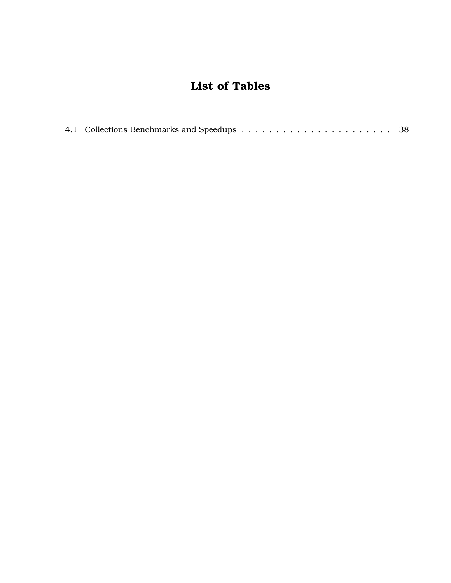### **List of Tables**

|--|--|--|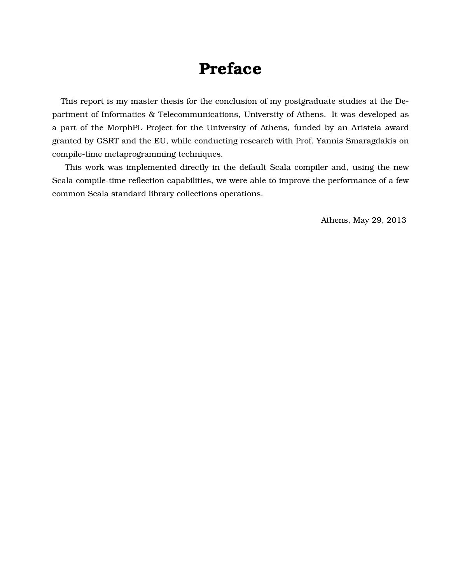## **Preface**

This report is my master thesis for the conclusion of my postgraduate studies at the Department of Informatics & Telecommunications, University of Athens. It was developed as a part of the MorphPL Project for the University of Athens, funded by an Aristeia award granted by GSRT and the EU, while conducting research with Prof. Yannis Smaragdakis on compile-time metaprogramming techniques.

This work was implemented directly in the default Scala compiler and, using the new Scala compile-time reflection capabilities, we were able to improve the performance of a few common Scala standard library collections operations.

Athens, May 29, 2013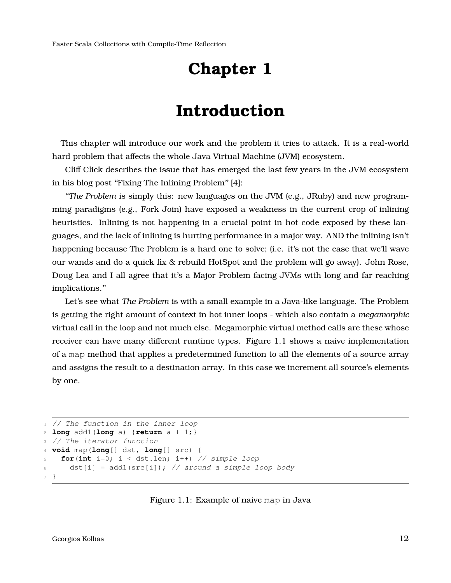## **Chapter 1**

## **Introduction**

<span id="page-11-0"></span>This chapter will introduce our work and the problem it tries to attack. It is a real-world hard problem that affects the whole Java Virtual Machine (JVM) ecosystem.

Cliff Click describes the issue that has emerged the last few years in the JVM ecosystem in his blog post "Fixing The Inlining Problem" [\[4\]](#page-41-1):

''*The Problem* is simply this: new languages on the JVM (e.g., JRuby) and new programming paradigms (e.g., Fork Join) have exposed a weakness in the current crop of inlining heuristics. Inlining is not happening in a crucial point in hot code exposed by these languages, and the lack of inlining is hurting performance in a major way. AND the inlining isn't happening because The Problem is a hard one to solve; (i.e. it's not the case that we'll wave our wands and do a quick fix & rebuild HotSpot and the problem will go away). John Rose, Doug Lea and I all agree that it's a Major Problem facing JVMs with long and far reaching implications.''

Let's see what *The Problem* is with a small example in a Java-like language. The Problem is getting the right amount of context in hot inner loops - which also contain a *megamorphic* virtual call in the loop and not much else. Megamorphic virtual method calls are these whose receiver can have many different runtime types. Figure [1.1](#page-11-1) shows a naive implementation of a map method that applies a predetermined function to all the elements of a source array and assigns the result to a destination array. In this case we increment all source's elements by one.

```
1 // The function in the inner loop
2 long add1(long a) {return a + 1;}
3 // The iterator function
4 void map(long[] dst, long[] src) {
5 for(int i=0; i < dst.len; i++) // simple loop
6 dst[i] = add1(src[i]); // around a simple loop body
7 }
```
Figure 1.1: Example of naive map in Java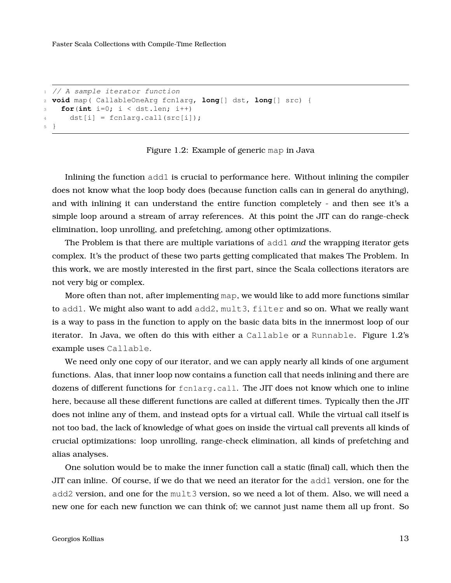```
1 // A sample iterator function
2 void map( CallableOneArg fcn1arg, long[] dst, long[] src) {
\text{for}(\text{int } i=0; i < \text{dst.len}; i++)4 dst[i] = fcnlarg.call(src[i]);
5 }
```
Figure 1.2: Example of generic map in Java

Inlining the function add1 is crucial to performance here. Without inlining the compiler does not know what the loop body does (because function calls can in general do anything), and with inlining it can understand the entire function completely - and then see it's a simple loop around a stream of array references. At this point the JIT can do range-check elimination, loop unrolling, and prefetching, among other optimizations.

The Problem is that there are multiple variations of add1 *and* the wrapping iterator gets complex. It's the product of these two parts getting complicated that makes The Problem. In this work, we are mostly interested in the first part, since the Scala collections iterators are not very big or complex.

More often than not, after implementing map, we would like to add more functions similar to add1. We might also want to add add2, mult3, filter and so on. What we really want is a way to pass in the function to apply on the basic data bits in the innermost loop of our iterator. In Java, we often do this with either a Callable or a Runnable. Figure [1.2'](#page-12-0)s example uses Callable.

We need only one copy of our iterator, and we can apply nearly all kinds of one argument functions. Alas, that inner loop now contains a function call that needs inlining and there are dozens of different functions for fcn1arg.call. The JIT does not know which one to inline here, because all these different functions are called at different times. Typically then the JIT does not inline any of them, and instead opts for a virtual call. While the virtual call itself is not too bad, the lack of knowledge of what goes on inside the virtual call prevents all kinds of crucial optimizations: loop unrolling, range-check elimination, all kinds of prefetching and alias analyses.

One solution would be to make the inner function call a static (final) call, which then the JIT can inline. Of course, if we do that we need an iterator for the add1 version, one for the add2 version, and one for the mult3 version, so we need a lot of them. Also, we will need a new one for each new function we can think of; we cannot just name them all up front. So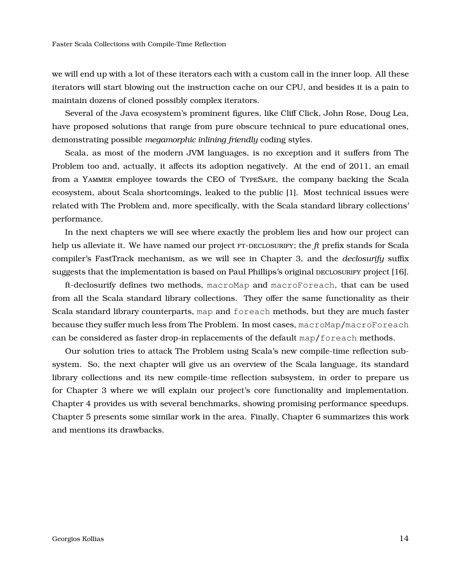we will end up with a lot of these iterators each with a custom call in the inner loop. All these iterators will start blowing out the instruction cache on our CPU, and besides it is a pain to maintain dozens of cloned possibly complex iterators.

Several of the Java ecosystem's prominent figures, like Cliff Click, John Rose, Doug Lea, have proposed solutions that range from pure obscure technical to pure educational ones, demonstrating possible *megamorphic inlining friendly* coding styles.

Scala, as most of the modern JVM languages, is no exception and it suffers from The Problem too and, actually, it affects its adoption negatively. At the end of 2011, an email from a Yammer employee towards the CEO of TypeSafe, the company backing the Scala ecosystem, about Scala shortcomings, leaked to the public [\[1\]](#page-41-2). Most technical issues were related with The Problem and, more specifically, with the Scala standard library collections' performance.

In the next chapters we will see where exactly the problem lies and how our project can help us alleviate it. We have named our project FT-DECLOSURIFY; the *ft* prefix stands for Scala compiler's FastTrack mechanism, as we will see in Chapter [3,](#page-19-0) and the *declosurify* suffix suggests that the implementation is based on Paul Phillips's original DECLOSURIFY project [\[16\]](#page-42-0).

ft-declosurify defines two methods, macroMap and macroForeach, that can be used from all the Scala standard library collections. They offer the same functionality as their Scala standard library counterparts, map and foreach methods, but they are much faster because they suffer much less from The Problem. In most cases, macroMap/macroForeach can be considered as faster drop-in replacements of the default map/foreach methods.

Our solution tries to attack The Problem using Scala's new compile-time reflection subsystem. So, the next chapter will give us an overview of the Scala language, its standard library collections and its new compile-time reflection subsystem, in order to prepare us for Chapter [3](#page-19-0) where we will explain our project's core functionality and implementation. Chapter [4](#page-34-0) provides us with several benchmarks, showing promising performance speedups. Chapter [5](#page-38-0) presents some similar work in the area. Finally, Chapter [6](#page-39-0) summarizes this work and mentions its drawbacks.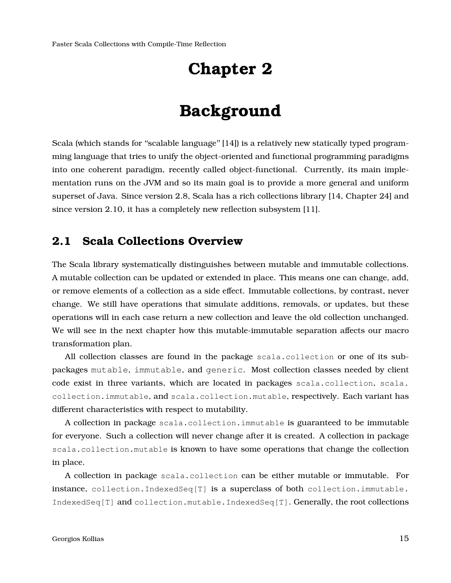## **Chapter 2**

## **Background**

<span id="page-14-0"></span>Scala (which stands for "scalable language" [\[14\]](#page-42-1)) is a relatively new statically typed programming language that tries to unify the object-oriented and functional programming paradigms into one coherent paradigm, recently called object-functional. Currently, its main implementation runs on the JVM and so its main goal is to provide a more general and uniform superset of Java. Since version 2.8, Scala has a rich collections library [\[14,](#page-42-1) Chapter 24] and since version 2.10, it has a completely new reflection subsystem [\[11\]](#page-41-3).

### <span id="page-14-1"></span>**2.1 Scala Collections Overview**

The Scala library systematically distinguishes between mutable and immutable collections. A mutable collection can be updated or extended in place. This means one can change, add, or remove elements of a collection as a side effect. Immutable collections, by contrast, never change. We still have operations that simulate additions, removals, or updates, but these operations will in each case return a new collection and leave the old collection unchanged. We will see in the next chapter how this mutable-immutable separation affects our macro transformation plan.

All collection classes are found in the package scala.collection or one of its subpackages mutable, immutable, and generic. Most collection classes needed by client code exist in three variants, which are located in packages scala.collection, scala. collection.immutable, and scala.collection.mutable, respectively. Each variant has different characteristics with respect to mutability.

A collection in package scala.collection.immutable is guaranteed to be immutable for everyone. Such a collection will never change after it is created. A collection in package scala.collection.mutable is known to have some operations that change the collection in place.

A collection in package scala.collection can be either mutable or immutable. For instance, collection.IndexedSeq[T] is a superclass of both collection.immutable. IndexedSeq[T] and collection.mutable.IndexedSeq[T]. Generally, the root collections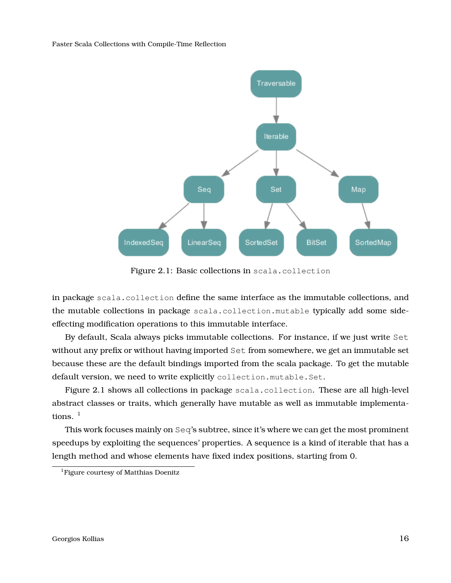<span id="page-15-1"></span>

Figure 2.1: Basic collections in scala.collection

in package scala.collection define the same interface as the immutable collections, and the mutable collections in package scala.collection.mutable typically add some sideeffecting modification operations to this immutable interface.

By default, Scala always picks immutable collections. For instance, if we just write Set without any prefix or without having imported Set from somewhere, we get an immutable set because these are the default bindings imported from the scala package. To get the mutable default version, we need to write explicitly collection.mutable.Set.

Figure [2.1](#page-15-1) shows all collections in package scala.collection. These are all high-level abstract classes or traits, which generally have mutable as well as immutable implementations.  $<sup>1</sup>$  $<sup>1</sup>$  $<sup>1</sup>$ </sup>

This work focuses mainly on Seq's subtree, since it's where we can get the most prominent speedups by exploiting the sequences' properties. A sequence is a kind of iterable that has a length method and whose elements have fixed index positions, starting from 0.

<span id="page-15-2"></span><span id="page-15-0"></span><sup>&</sup>lt;sup>1</sup>Figure courtesy of Matthias Doenitz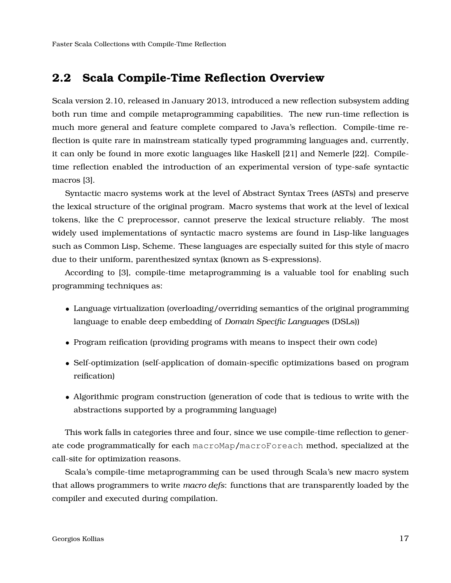### **2.2 Scala Compile-Time Reflection Overview**

Scala version 2.10, released in January 2013, introduced a new reflection subsystem adding both run time and compile metaprogramming capabilities. The new run-time reflection is much more general and feature complete compared to Java's reflection. Compile-time reflection is quite rare in mainstream statically typed programming languages and, currently, it can only be found in more exotic languages like Haskell [\[21\]](#page-42-2) and Nemerle [\[22\]](#page-42-3). Compiletime reflection enabled the introduction of an experimental version of type-safe syntactic macros [\[3\]](#page-41-4).

Syntactic macro systems work at the level of Abstract Syntax Trees (ASTs) and preserve the lexical structure of the original program. Macro systems that work at the level of lexical tokens, like the C preprocessor, cannot preserve the lexical structure reliably. The most widely used implementations of syntactic macro systems are found in Lisp-like languages such as Common Lisp, Scheme. These languages are especially suited for this style of macro due to their uniform, parenthesized syntax (known as S-expressions).

According to [\[3\]](#page-41-4), compile-time metaprogramming is a valuable tool for enabling such programming techniques as:

- Language virtualization (overloading/overriding semantics of the original programming language to enable deep embedding of *Domain Specific Language*s (DSLs))
- Program reification (providing programs with means to inspect their own code)
- Self-optimization (self-application of domain-specific optimizations based on program reification)
- Algorithmic program construction (generation of code that is tedious to write with the abstractions supported by a programming language)

This work falls in categories three and four, since we use compile-time reflection to generate code programmatically for each macroMap/macroForeach method, specialized at the call-site for optimization reasons.

Scala's compile-time metaprogramming can be used through Scala's new macro system that allows programmers to write *macro defs*: functions that are transparently loaded by the compiler and executed during compilation.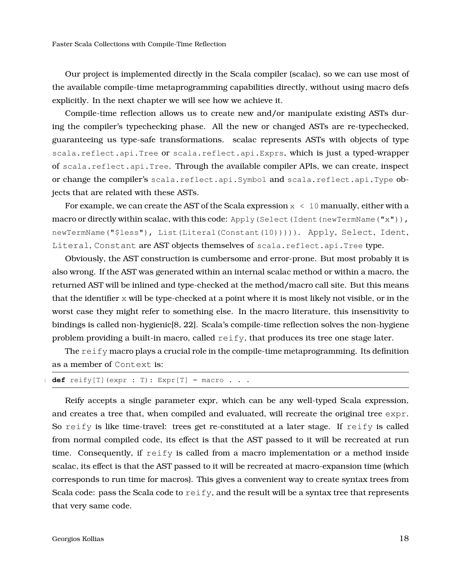Our project is implemented directly in the Scala compiler (scalac), so we can use most of the available compile-time metaprogramming capabilities directly, without using macro defs explicitly. In the next chapter we will see how we achieve it.

Compile-time reflection allows us to create new and/or manipulate existing ASTs during the compiler's typechecking phase. All the new or changed ASTs are re-typechecked, guaranteeing us type-safe transformations. scalac represents ASTs with objects of type scala.reflect.api.Tree or scala.reflect.api.Exprs, which is just a typed-wrapper of scala.reflect.api.Tree. Through the available compiler APIs, we can create, inspect or change the compiler's scala.reflect.api.Symbol and scala.reflect.api.Type objects that are related with these ASTs.

For example, we can create the AST of the Scala expression  $x < 10$  manually, either with a macro or directly within scalac, with this code: Apply (Select (Ident (newTermName ("x")), newTermName("\$less"), List(Literal(Constant(10))))). Apply, Select, Ident, Literal, Constant are AST objects themselves of scala.reflect.api.Tree type.

Obviously, the AST construction is cumbersome and error-prone. But most probably it is also wrong. If the AST was generated within an internal scalac method or within a macro, the returned AST will be inlined and type-checked at the method/macro call site. But this means that the identifier x will be type-checked at a point where it is most likely not visible, or in the worst case they might refer to something else. In the macro literature, this insensitivity to bindings is called non-hygienic[\[8,](#page-41-5) [22\]](#page-42-3). Scala's compile-time reflection solves the non-hygiene problem providing a built-in macro, called  $\text{reify}$ , that produces its tree one stage later.

The reify macro plays a crucial role in the compile-time metaprogramming. Its definition as a member of Context is:

```
def reify[T] (expr : T): Expr[T] = macro . . .
```
Reify accepts a single parameter expr, which can be any well-typed Scala expression, and creates a tree that, when compiled and evaluated, will recreate the original tree expr. So reify is like time-travel: trees get re-constituted at a later stage. If reify is called from normal compiled code, its effect is that the AST passed to it will be recreated at run time. Consequently, if reify is called from a macro implementation or a method inside scalac, its effect is that the AST passed to it will be recreated at macro-expansion time (which corresponds to run time for macros). This gives a convenient way to create syntax trees from Scala code: pass the Scala code to  $\text{reify}$ , and the result will be a syntax tree that represents that very same code.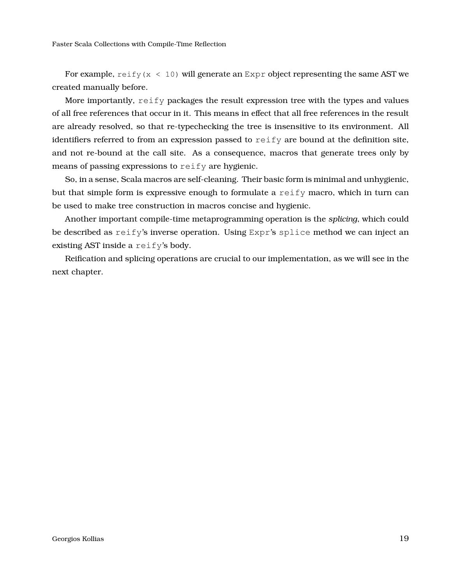For example, reify  $(x < 10)$  will generate an Expr object representing the same AST we created manually before.

More importantly,  $\text{reify}$  packages the result expression tree with the types and values of all free references that occur in it. This means in effect that all free references in the result are already resolved, so that re-typechecking the tree is insensitive to its environment. All identifiers referred to from an expression passed to reify are bound at the definition site, and not re-bound at the call site. As a consequence, macros that generate trees only by means of passing expressions to reify are hygienic.

So, in a sense, Scala macros are self-cleaning. Their basic form is minimal and unhygienic, but that simple form is expressive enough to formulate a reify macro, which in turn can be used to make tree construction in macros concise and hygienic.

Another important compile-time metaprogramming operation is the *splicing*, which could be described as reify's inverse operation. Using Expr's splice method we can inject an existing AST inside a reify's body.

Reification and splicing operations are crucial to our implementation, as we will see in the next chapter.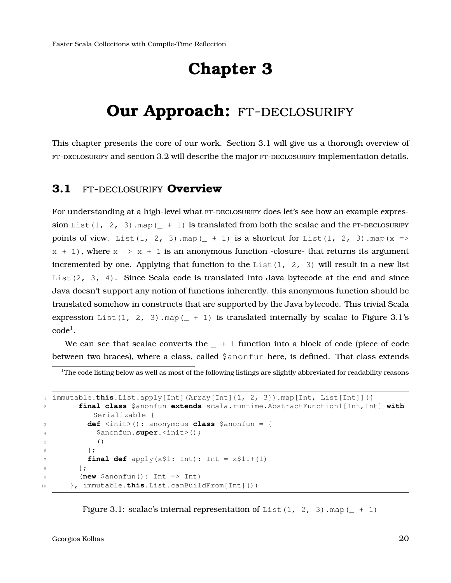## **Chapter 3**

## <span id="page-19-0"></span>**Our Approach: FT-DECLOSURIFY**

<span id="page-19-1"></span>This chapter presents the core of our work. Section [3.1](#page-19-1) will give us a thorough overview of FT-DECLOSURIFY and section [3.2](#page-22-0) will describe the major FT-DECLOSURIFY implementation details.

#### **3.1** ft-declosurify **Overview**

For understanding at a high-level what FT-DECLOSURIFY does let's see how an example expression List(1, 2, 3).map( $+1$ ) is translated from both the scalac and the FT-DECLOSURIFY points of view. List(1, 2, 3).map( $\pm$  + 1) is a shortcut for List(1, 2, 3).map(x =>  $x + 1$ , where  $x \Rightarrow x + 1$  is an anonymous function -closure- that returns its argument incremented by one. Applying that function to the List(1, 2, 3) will result in a new list List( $2, 3, 4$ ). Since Scala code is translated into Java bytecode at the end and since Java doesn't support any notion of functions inherently, this anonymous function should be translated somehow in constructs that are supported by the Java bytecode. This trivial Scala expression List(1, 2, 3).map( + 1) is translated internally by scalac to Figure [3.1'](#page-19-2)s  $code^{1}$  $code^{1}$  $code^{1}$ .

We can see that scalac converts the  $- + 1$  function into a block of code (piece of code between two braces), where a class, called \$anonfun here, is defined. That class extends

<span id="page-19-3"></span> $1$ The code listing below as well as most of the following listings are slightly abbreviated for readability reasons

```
1 immutable.this.List.apply[Int](Array[Int]{1, 2, 3}).map[Int, List[Int]]({
2 final class $anonfun extends scala.runtime.AbstractFunction1[Int,Int] with
          Serializable {
3 def <init>(): anonymous class $anonfun = {
           4 $anonfun.super.<init>();
5 ()
6 \Big\} ;
\tau final def apply(x$1: Int): Int = x$1.+(1)
       8 };
9 (new $anonfun(): Int => Int)
10 }, immutable.this.List.canBuildFrom[Int]())
```
Figure 3.1: scalac's internal representation of List  $(1, 2, 3)$ . map  $(- + 1)$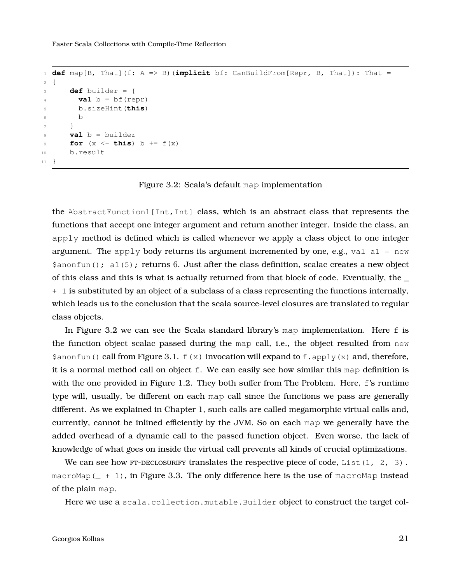```
1 def map[B, That](f: A => B)(implicit bf: CanBuildFrom[Repr, B, That]): That =
2 {
3 def builder = {
4 val b = bf(repr)5 b.sizeHint(this)
6 b
7 }
8 val b = builder
9 for (x \le - this) b += f(x)10 b.result
11 }
```
Figure 3.2: Scala's default map implementation

the AbstractFunction1[Int,Int] class, which is an abstract class that represents the functions that accept one integer argument and return another integer. Inside the class, an apply method is defined which is called whenever we apply a class object to one integer argument. The apply body returns its argument incremented by one, e.g., val al = new  $\frac{1}{2}$  anonfun(); a1(5); returns 6. Just after the class definition, scalac creates a new object of this class and this is what is actually returned from that block of code. Eventually, the \_ + 1 is substituted by an object of a subclass of a class representing the functions internally, which leads us to the conclusion that the scala source-level closures are translated to regular class objects.

In Figure [3.2](#page-20-0) we can see the Scala standard library's map implementation. Here f is the function object scalac passed during the map call, i.e., the object resulted from new  $\frac{1}{2}$  \$anonfun() call from Figure [3.1.](#page-19-2) f(x) invocation will expand to f. apply(x) and, therefore, it is a normal method call on object f. We can easily see how similar this map definition is with the one provided in Figure [1.2.](#page-12-0) They both suffer from The Problem. Here, f's runtime type will, usually, be different on each map call since the functions we pass are generally different. As we explained in Chapter [1,](#page-11-0) such calls are called megamorphic virtual calls and, currently, cannot be inlined efficiently by the JVM. So on each map we generally have the added overhead of a dynamic call to the passed function object. Even worse, the lack of knowledge of what goes on inside the virtual call prevents all kinds of crucial optimizations.

We can see how FT-DECLOSURIFY translates the respective piece of code, List(1, 2, 3). macroMap( $+ 1$ ), in Figure [3.3.](#page-21-0) The only difference here is the use of macroMap instead of the plain map.

Here we use a scala.collection.mutable.Builder object to construct the target col-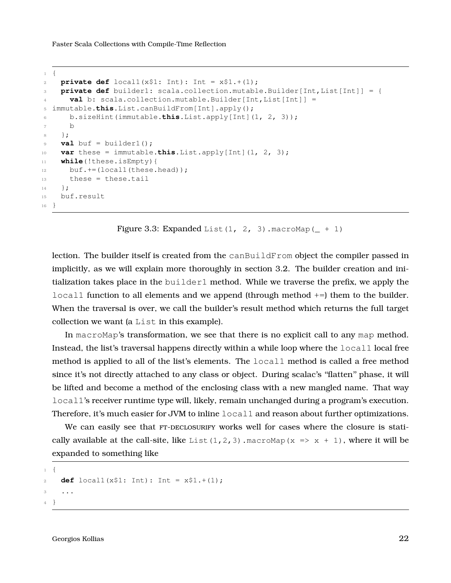```
1 {
private def local1(x$1: Int): Int = x$1.+(1);3 private def builder1: scala.collection.mutable.Builder[Int,List[Int]] = {
4 val b: scala.collection.mutable.Builder[Int,List[Int]] =
5 immutable.this.List.canBuildFrom[Int].apply();
6 b.sizeHint(immutable.this.List.apply[Int](1, 2, 3));
7 b
8 } ;
9 val buf = builder1();
10 var these = immutable.this.List.apply[Int](1, 2, 3);
11 while(!these.isEmpty){
12 buf.+=(local1(these.head));
13 these = these.tail
14 } ;
15 buf.result
16 }
```
Figure 3.3: Expanded List  $(1, 2, 3)$ . macroMap  $($  + 1)

lection. The builder itself is created from the canBuildFrom object the compiler passed in implicitly, as we will explain more thoroughly in section [3.2.](#page-22-0) The builder creation and initialization takes place in the builder1 method. While we traverse the prefix, we apply the  $local1$  function to all elements and we append (through method  $+=$ ) them to the builder. When the traversal is over, we call the builder's result method which returns the full target collection we want (a List in this example).

In macroMap's transformation, we see that there is no explicit call to any map method. Instead, the list's traversal happens directly within a while loop where the local1 local free method is applied to all of the list's elements. The local1 method is called a free method since it's not directly attached to any class or object. During scalac's ''flatten'' phase, it will be lifted and become a method of the enclosing class with a new mangled name. That way local1's receiver runtime type will, likely, remain unchanged during a program's execution. Therefore, it's much easier for JVM to inline  $local1$  and reason about further optimizations.

We can easily see that FT-DECLOSURIFY works well for cases where the closure is statically available at the call-site, like List(1,2,3).macroMap(x =>  $x + 1$ ), where it will be expanded to something like

```
1 {
2 def local1(x$1: Int): Int = x$1.+(1);
3 ...
4 }
```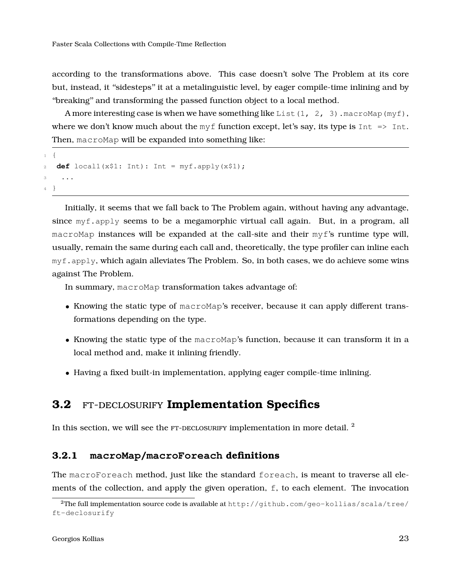according to the transformations above. This case doesn't solve The Problem at its core but, instead, it ''sidesteps'' it at a metalinguistic level, by eager compile-time inlining and by ''breaking'' and transforming the passed function object to a local method.

A more interesting case is when we have something like List(1, 2, 3). macroMap(myf), where we don't know much about the  $myf$  function except, let's say, its type is  $Int = \geq Int$ . Then, macroMap will be expanded into something like:

```
1 {
2 def locall(x$1: Int): Int = myf.apply(x$1);
3 ...
4 }
```
Initially, it seems that we fall back to The Problem again, without having any advantage, since  $myf$ , apply seems to be a megamorphic virtual call again. But, in a program, all macroMap instances will be expanded at the call-site and their myf's runtime type will, usually, remain the same during each call and, theoretically, the type profiler can inline each  $m\gamma f$ . apply, which again alleviates The Problem. So, in both cases, we do achieve some wins against The Problem.

In summary, macroMap transformation takes advantage of:

- Knowing the static type of macroMap's receiver, because it can apply different transformations depending on the type.
- Knowing the static type of the macroMap's function, because it can transform it in a local method and, make it inlining friendly.
- Having a fixed built-in implementation, applying eager compile-time inlining.

#### <span id="page-22-0"></span>**3.2** ft-declosurify **Implementation Specifics**

<span id="page-22-1"></span>In this section, we will see the  $FT$ -DECLOSURIFY implementation in more detail.  $^2$  $^2$ 

#### **3.2.1 macroMap/macroForeach definitions**

The macroForeach method, just like the standard foreach, is meant to traverse all elements of the collection, and apply the given operation, f, to each element. The invocation

<span id="page-22-2"></span><sup>&</sup>lt;sup>2</sup>The full implementation source code is available at  $http://github.com/geo-kollias/scala/tree/$ [ft-declosurify](http://github.com/geo-kollias/scala/tree/ft-declosurify)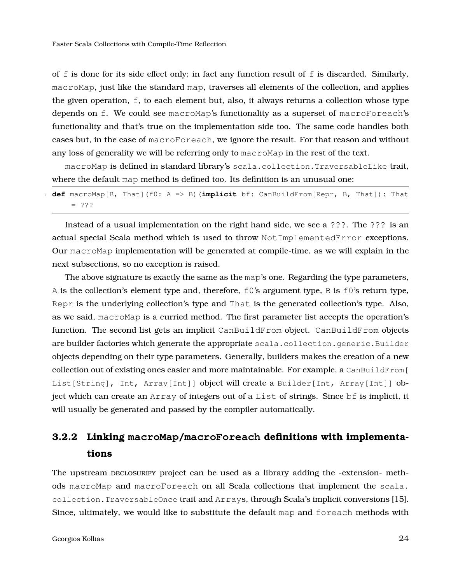of  $f$  is done for its side effect only; in fact any function result of  $f$  is discarded. Similarly, macroMap, just like the standard map, traverses all elements of the collection, and applies the given operation, f, to each element but, also, it always returns a collection whose type depends on f. We could see macroMap's functionality as a superset of macroForeach's functionality and that's true on the implementation side too. The same code handles both cases but, in the case of macroForeach, we ignore the result. For that reason and without any loss of generality we will be referring only to macroMap in the rest of the text.

macroMap is defined in standard library's scala.collection. TraversableLike trait, where the default map method is defined too. Its definition is an unusual one:

|  |         |  |  | def macroMap[B, That](f0: A => B)(implicit bf: CanBuildFrom[Repr, B, That]): That |  |  |
|--|---------|--|--|-----------------------------------------------------------------------------------|--|--|
|  | $= 222$ |  |  |                                                                                   |  |  |

Instead of a usual implementation on the right hand side, we see a ???. The ??? is an actual special Scala method which is used to throw NotImplementedError exceptions. Our macroMap implementation will be generated at compile-time, as we will explain in the next subsections, so no exception is raised.

The above signature is exactly the same as the map's one. Regarding the type parameters, A is the collection's element type and, therefore,  $f0$ 's argument type, B is  $f0$ 's return type, Repr is the underlying collection's type and That is the generated collection's type. Also, as we said, macroMap is a curried method. The first parameter list accepts the operation's function. The second list gets an implicit CanBuildFrom object. CanBuildFrom objects are builder factories which generate the appropriate scala.collection.generic.Builder objects depending on their type parameters. Generally, builders makes the creation of a new collection out of existing ones easier and more maintainable. For example, a  $\text{CanBuilder}$  [ List[String], Int, Array[Int]] object will create a Builder[Int, Array[Int]] object which can create an Array of integers out of a List of strings. Since bf is implicit, it will usually be generated and passed by the compiler automatically.

### <span id="page-23-0"></span>**3.2.2 Linking macroMap/macroForeach definitions with implementations**

The upstream DECLOSURIFY project can be used as a library adding the -extension- methods macroMap and macroForeach on all Scala collections that implement the scala. collection.TraversableOnce trait and Arrays, through Scala's implicit conversions [\[15\]](#page-42-4). Since, ultimately, we would like to substitute the default map and foreach methods with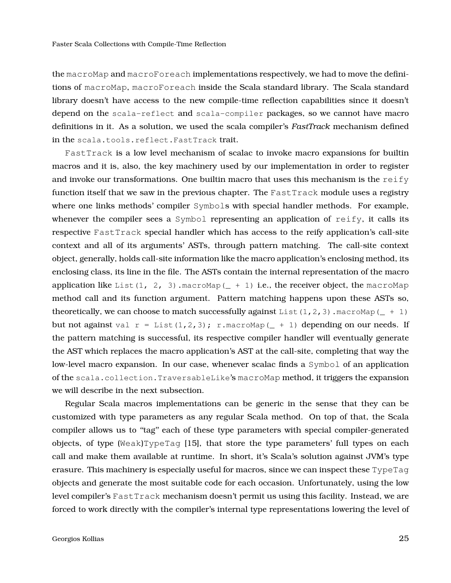the macroMap and macroForeach implementations respectively, we had to move the definitions of macroMap, macroForeach inside the Scala standard library. The Scala standard library doesn't have access to the new compile-time reflection capabilities since it doesn't depend on the scala-reflect and scala-compiler packages, so we cannot have macro definitions in it. As a solution, we used the scala compiler's *FastTrack* mechanism defined in the scala.tools.reflect.FastTrack trait.

FastTrack is a low level mechanism of scalac to invoke macro expansions for builtin macros and it is, also, the key machinery used by our implementation in order to register and invoke our transformations. One builtin macro that uses this mechanism is the reify function itself that we saw in the previous chapter. The FastTrack module uses a registry where one links methods' compiler Symbols with special handler methods. For example, whenever the compiler sees a Symbol representing an application of reify, it calls its respective FastTrack special handler which has access to the reify application's call-site context and all of its arguments' ASTs, through pattern matching. The call-site context object, generally, holds call-site information like the macro application's enclosing method, its enclosing class, its line in the file. The ASTs contain the internal representation of the macro application like List(1, 2, 3).macroMap( $+1$ ) i.e., the receiver object, the macroMap method call and its function argument. Pattern matching happens upon these ASTs so, theoretically, we can choose to match successfully against List(1,2,3).macroMap( $+1$ ) but not against val  $r = List(1,2,3); r.macromap($  + 1) depending on our needs. If the pattern matching is successful, its respective compiler handler will eventually generate the AST which replaces the macro application's AST at the call-site, completing that way the low-level macro expansion. In our case, whenever scalac finds a Symbol of an application of the scala.collection.TraversableLike's macroMap method, it triggers the expansion we will describe in the next subsection.

Regular Scala macros implementations can be generic in the sense that they can be customized with type parameters as any regular Scala method. On top of that, the Scala compiler allows us to "tag" each of these type parameters with special compiler-generated objects, of type (Weak)TypeTag [\[15\]](#page-42-4), that store the type parameters' full types on each call and make them available at runtime. In short, it's Scala's solution against JVM's type erasure. This machinery is especially useful for macros, since we can inspect these TypeTag objects and generate the most suitable code for each occasion. Unfortunately, using the low level compiler's FastTrack mechanism doesn't permit us using this facility. Instead, we are forced to work directly with the compiler's internal type representations lowering the level of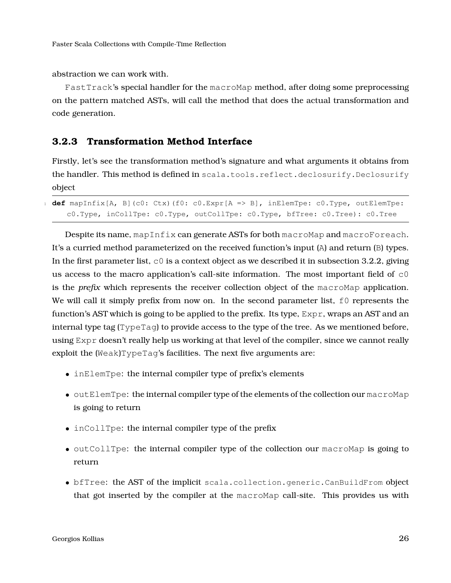abstraction we can work with.

FastTrack's special handler for the macroMap method, after doing some preprocessing on the pattern matched ASTs, will call the method that does the actual transformation and code generation.

#### <span id="page-25-0"></span>**3.2.3 Transformation Method Interface**

Firstly, let's see the transformation method's signature and what arguments it obtains from the handler. This method is defined in scala.tools.reflect.declosurify.Declosurify object

<sup>1</sup> **def** mapInfix[A, B](c0: Ctx)(f0: c0.Expr[A => B], inElemTpe: c0.Type, outElemTpe: c0.Type, inCollTpe: c0.Type, outCollTpe: c0.Type, bfTree: c0.Tree): c0.Tree

Despite its name, mapInfix can generate ASTs for both macroMap and macroForeach. It's a curried method parameterized on the received function's input (A) and return (B) types. In the first parameter list,  $\circ$  is a context object as we described it in subsection [3.2.2,](#page-23-0) giving us access to the macro application's call-site information. The most important field of  $\infty$ is the *prefix* which represents the receiver collection object of the macroMap application. We will call it simply prefix from now on. In the second parameter list,  $f_0$  represents the function's AST which is going to be applied to the prefix. Its type, Expr, wraps an AST and an internal type tag  $(\text{TypeTag})$  to provide access to the type of the tree. As we mentioned before, using Expr doesn't really help us working at that level of the compiler, since we cannot really exploit the  $(Weak)TypeTag's facilities.$  The next five arguments are:

- inElemTpe: the internal compiler type of prefix's elements
- outElemTpe: the internal compiler type of the elements of the collection our macroMap is going to return
- inCollTpe: the internal compiler type of the prefix
- outCollTpe: the internal compiler type of the collection our macroMap is going to return
- bfTree: the AST of the implicit scala.collection.generic.CanBuildFrom object that got inserted by the compiler at the macroMap call-site. This provides us with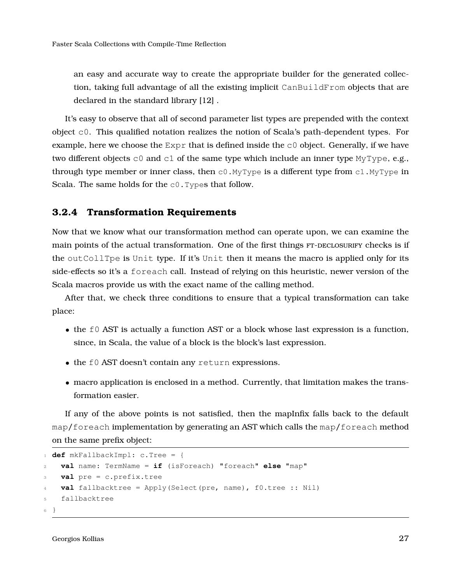an easy and accurate way to create the appropriate builder for the generated collection, taking full advantage of all the existing implicit CanBuildFrom objects that are declared in the standard library [\[12\]](#page-42-5) .

It's easy to observe that all of second parameter list types are prepended with the context object c0. This qualified notation realizes the notion of Scala's path-dependent types. For example, here we choose the  $Expr$  that is defined inside the  $c0$  object. Generally, if we have two different objects  $c0$  and  $c1$  of the same type which include an inner type MyType, e.g., through type member or inner class, then  $c0.$  MyType is a different type from  $c1.$  MyType in Scala. The same holds for the  $c0$ . Types that follow.

#### <span id="page-26-0"></span>**3.2.4 Transformation Requirements**

Now that we know what our transformation method can operate upon, we can examine the main points of the actual transformation. One of the first things  $FT$ -DECLOSURIFY checks is if the outCollTpe is Unit type. If it's Unit then it means the macro is applied only for its side-effects so it's a foreach call. Instead of relying on this heuristic, newer version of the Scala macros provide us with the exact name of the calling method.

After that, we check three conditions to ensure that a typical transformation can take place:

- the f0 AST is actually a function AST or a block whose last expression is a function, since, in Scala, the value of a block is the block's last expression.
- the f0 AST doesn't contain any return expressions.
- macro application is enclosed in a method. Currently, that limitation makes the transformation easier.

If any of the above points is not satisfied, then the mapInfix falls back to the default map/foreach implementation by generating an AST which calls the map/foreach method on the same prefix object:

```
1 def mkFallbackImpl: c.Tree = {
   2 val name: TermName = if (isForeach) "foreach" else "map"
3 val pre = c.prefix.tree
   4 val fallbacktree = Apply(Select(pre, name), f0.tree :: Nil)
5 fallbacktree
6 }
```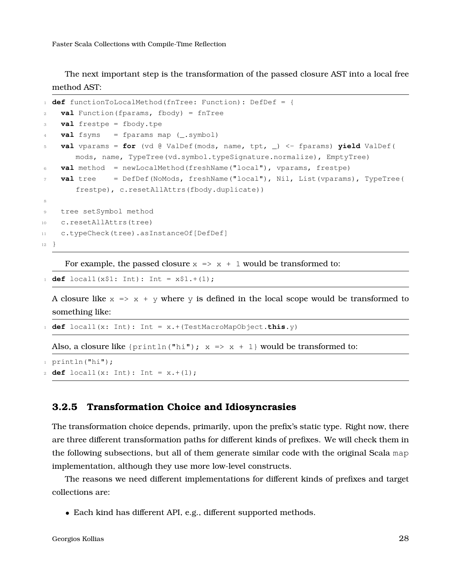The next important step is the transformation of the passed closure AST into a local free method AST:

```
1 def functionToLocalMethod(fnTree: Function): DefDef = {
2 val Function(fparams, fbody) = fnTree
3 val frestpe = fbody.tpe
4 val fsyms = fparams map (_.symbol)
5 val vparams = for (vd @ ValDef(mods, name, tpt, _) <- fparams) yield ValDef(
       mods, name, TypeTree(vd.symbol.typeSignature.normalize), EmptyTree)
6 val method = newLocalMethod(freshName("local"), vparams, frestpe)
7 val tree = DefDef(NoMods, freshName("local"), Nil, List(vparams), TypeTree(
       frestpe), c.resetAllAttrs(fbody.duplicate))
8
9 tree setSymbol method
10 c.resetAllAttrs(tree)
11 c.typeCheck(tree).asInstanceOf[DefDef]
12 }
```
For example, the passed closure  $x \Rightarrow x + 1$  would be transformed to:

```
def local1(x$1: Int): Int = x$1.+(1);
```
A closure like  $x \Rightarrow x + y$  where y is defined in the local scope would be transformed to something like:

```
1 def local1(x: Int): Int = x.+(TestMacroMapObject.this.y)
```
Also, a closure like { $prinlin("hi")$ ;  $x \Rightarrow x + 1$ } would be transformed to:

 $1$  println("hi");

```
def local1(x: Int): Int = x.+(1);
```
#### **3.2.5 Transformation Choice and Idiosyncrasies**

The transformation choice depends, primarily, upon the prefix's static type. Right now, there are three different transformation paths for different kinds of prefixes. We will check them in the following subsections, but all of them generate similar code with the original Scala map implementation, although they use more low-level constructs.

The reasons we need different implementations for different kinds of prefixes and target collections are:

• Each kind has different API, e.g., different supported methods.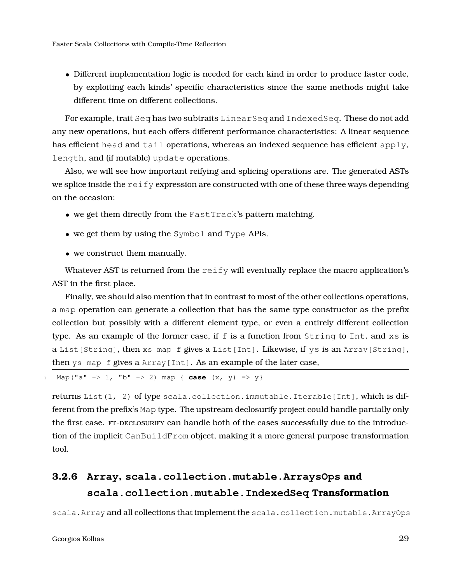• Different implementation logic is needed for each kind in order to produce faster code, by exploiting each kinds' specific characteristics since the same methods might take different time on different collections.

For example, trait Seq has two subtraits LinearSeq and IndexedSeq. These do not add any new operations, but each offers different performance characteristics: A linear sequence has efficient head and tail operations, whereas an indexed sequence has efficient apply, length, and (if mutable) update operations.

Also, we will see how important reifying and splicing operations are. The generated ASTs we splice inside the reify expression are constructed with one of these three ways depending on the occasion:

- we get them directly from the FastTrack's pattern matching.
- we get them by using the Symbol and Type APIs.
- we construct them manually.

Whatever AST is returned from the reify will eventually replace the macro application's AST in the first place.

Finally, we should also mention that in contrast to most of the other collections operations, a map operation can generate a collection that has the same type constructor as the prefix collection but possibly with a different element type, or even a entirely different collection type. As an example of the former case, if  $f$  is a function from  $String$  to  $Int$ , and  $xs$  is a List[String], then xs map f gives a List[Int]. Likewise, if ys is an Array[String], then ys map f gives a Array[Int]. As an example of the later case,

```
Map("a" \rightarrow 1, "b" \rightarrow 2) map { case (x, y) \Rightarrow y}
```
returns List(1, 2) of type scala.collection.immutable.Iterable[Int], which is different from the prefix's Map type. The upstream declosurify project could handle partially only the first case. FT-DECLOSURIFY can handle both of the cases successfully due to the introduction of the implicit CanBuildFrom object, making it a more general purpose transformation tool.

### <span id="page-28-0"></span>**3.2.6 Array, scala.collection.mutable.ArraysOps and scala.collection.mutable.IndexedSeq Transformation**

scala.Array and all collections that implement the scala.collection.mutable.ArrayOps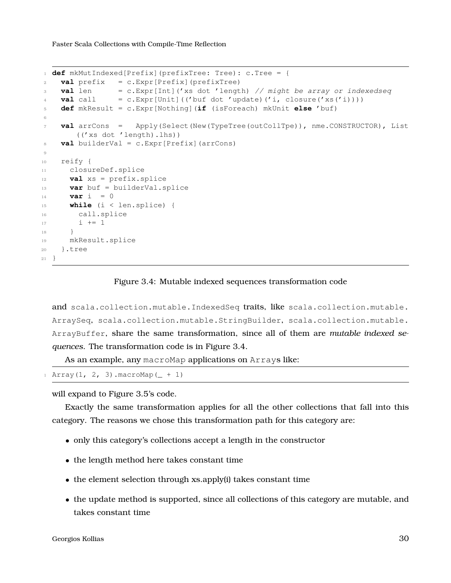```
1 def mkMutIndexed[Prefix](prefixTree: Tree): c.Tree = {
2 val prefix = c.Expr[Prefix](prefixTree)
3 val len = c.Expr[Int]('xs dot 'length) // might be array or indexedseq
val call = c.Expr[Unit] ((t'but dot' update) ('i, closure('xs('i))))5 def mkResult = c.Expr[Nothing](if (isForeach) mkUnit else 'buf)
6
7 val arrCons = Apply(Select(New(TypeTree(outCollTpe)), nme.CONSTRUCTOR), List
       (('xs dot 'length).lhs))
8 val builderVal = c.Expr[Prefix](arrCons)
9
10 reify {
11 closureDef.splice
12 val xs = prefix.splice
13 var buf = builderVal.splice
_{14} var \dot{1} = 015 while (i < len.splice) {
16 call.splice
17 i += 118 }
19 mkResult.splice
20 }.tree
21 }
```
#### Figure 3.4: Mutable indexed sequences transformation code

and scala.collection.mutable.IndexedSeq traits, like scala.collection.mutable. ArraySeq, scala.collection.mutable.StringBuilder, scala.collection.mutable. ArrayBuffer, share the same transformation, since all of them are *mutable indexed sequences*. The transformation code is in Figure [3.4.](#page-29-0)

As an example, any macroMap applications on Arrays like:

```
Array(1, 2, 3). macroMap(+1)
```
will expand to Figure [3.5'](#page-30-1)s code.

Exactly the same transformation applies for all the other collections that fall into this category. The reasons we chose this transformation path for this category are:

- only this category's collections accept a length in the constructor
- the length method here takes constant time
- the element selection through xs.apply(i) takes constant time
- the update method is supported, since all collections of this category are mutable, and takes constant time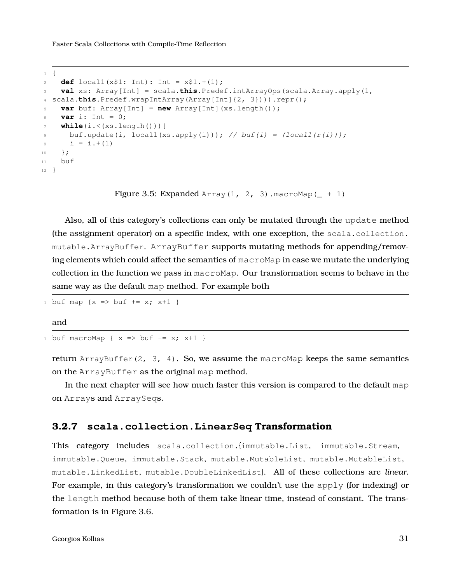```
1 {
2 def local1(x$1: Int): Int = x$1.+(1);
3 val xs: Array[Int] = scala.this.Predef.intArrayOps(scala.Array.apply(1,
4 scala.this.Predef.wrapIntArray(Array[Int]{2, 3}))).repr();
5 var buf: Array[Int] = new Array[Int](xs.length());
6 var i: Int = 0;
7 while(i.<(xs.length())){
8 buf.update(i, local1(xs.apply(i))); // buf(i) = (local1(r(i)));
9 i = i + (1)10 } ;
11 buf
12 }
```
Figure 3.5: Expanded Array(1, 2, 3). macroMap( $- + 1$ )

Also, all of this category's collections can only be mutated through the update method (the assignment operator) on a specific index, with one exception, the scala.collection. mutable.ArrayBuffer. ArrayBuffer supports mutating methods for appending/removing elements which could affect the semantics of macroMap in case we mutate the underlying collection in the function we pass in macroMap. Our transformation seems to behave in the same way as the default map method. For example both

```
buf map \{x \Rightarrow \text{buf } += x; x+1 \}
```
#### and

```
buf macroMap { x \Rightarrow buf += x; x+1 }
```
return ArrayBuffer(2, 3, 4). So, we assume the macroMap keeps the same semantics on the ArrayBuffer as the original map method.

In the next chapter will see how much faster this version is compared to the default map on Arrays and ArraySeqs.

#### <span id="page-30-0"></span>**3.2.7 scala.collection.LinearSeq Transformation**

This category includes scala.collection.{immutable.List, immutable.Stream, immutable. Oueue, immutable. Stack, mutable. MutableList, mutable. MutableList, mutable.LinkedList, mutable.DoubleLinkedList}. All of these collections are *linear*. For example, in this category's transformation we couldn't use the apply (for indexing) or the length method because both of them take linear time, instead of constant. The transformation is in Figure [3.6.](#page-31-1)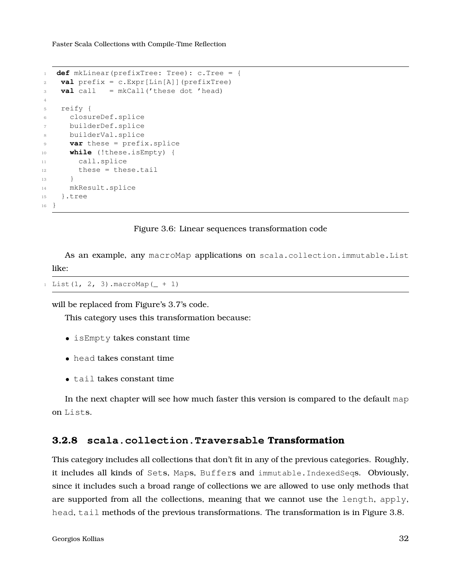```
1 def mkLinear(prefixTree: Tree): c.Tree = {
\nu val prefix = c.Expr[Lin[A]](prefixTree)
3 val call = mkCall('these dot 'head)
4
5 reify {
6 closureDef.splice
7 builderDef.splice
8 builderVal.splice
9 var these = prefix.splice
10 while (!these.isEmpty) {
11 call.splice
12 these = these.tail
13 }
14 mkResult.splice
15 }.tree
16 }
```
#### Figure 3.6: Linear sequences transformation code

As an example, any macroMap applications on scala.collection.immutable.List like:

```
1 List(1, 2, 3).macroMap(+1)
```
will be replaced from Figure's [3.7'](#page-32-0)s code.

This category uses this transformation because:

- isEmpty takes constant time
- head takes constant time
- tail takes constant time

<span id="page-31-0"></span>In the next chapter will see how much faster this version is compared to the default map on Lists.

#### **3.2.8 scala.collection.Traversable Transformation**

This category includes all collections that don't fit in any of the previous categories. Roughly, it includes all kinds of Sets, Maps, Buffers and immutable.IndexedSeqs. Obviously, since it includes such a broad range of collections we are allowed to use only methods that are supported from all the collections, meaning that we cannot use the length, apply, head, tail methods of the previous transformations. The transformation is in Figure [3.8.](#page-32-1)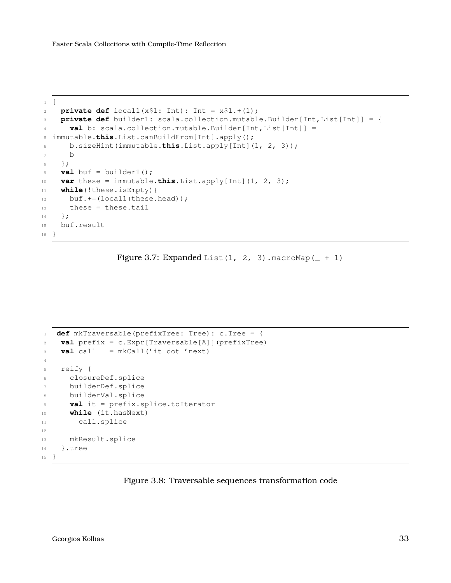```
1 {
private def local1(x$1: Int): Int = x$1.+(1);3 private def builder1: scala.collection.mutable.Builder[Int,List[Int]] = {
4 val b: scala.collection.mutable.Builder[Int,List[Int]] =
5 immutable.this.List.canBuildFrom[Int].apply();
6 b.sizeHint(immutable.this.List.apply[Int](1, 2, 3));
7 b
8 } ;
9 val buf = builder1();
10 var these = immutable.this.List.apply[Int](1, 2, 3);
11 while(!these.isEmpty){
12 buf.+=(local1(these.head));
13 these = these.tail
14 } ;
15 buf.result
16 }
```

```
Figure 3.7: Expanded List (1, 2, 3). macroMap ( + 1)
```

```
1 def mkTraversable(prefixTree: Tree): c.Tree = {
2 val prefix = c.Expr[Traversable[A]](prefixTree)
3 val call = mkCall('it dot 'next)4
5 reify {
6 closureDef.splice
7 builderDef.splice
8 builderVal.splice
9 val it = prefix.splice.toIterator
10 while (it.hasNext)
11 call.splice
12
13 mkResult.splice
14 }.tree
15 }
```
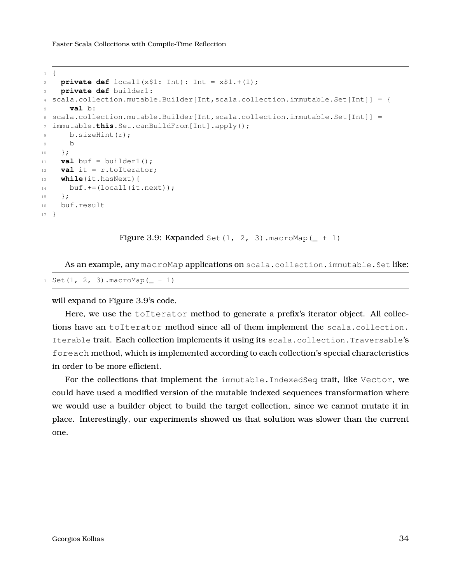```
1 {
private def local1(x$1: Int): Int = x$1.*(1);3 private def builder1:
4 scala.collection.mutable.Builder[Int,scala.collection.immutable.Set[Int]] = {
5 val b:
6 scala.collection.mutable.Builder[Int,scala.collection.immutable.Set[Int]] =
7 immutable.this.Set.canBuildFrom[Int].apply();
8 b.sizeHint(r);
9 b
10 } ;
11 val buf = builder1();
12 val it = r.toIterator;
13 while(it.hasNext){
14 buf.+=(locall(it.next));
15 };
16 buf.result
17 }
```
Figure 3.9: Expanded Set(1, 2, 3). macroMap( $+1$ )

As an example, any macroMap applications on scala.collection.immutable.Set like:

```
1 Set(1, 2, 3). macroMap(+1)
```
will expand to Figure [3.9'](#page-33-0)s code.

Here, we use the toIterator method to generate a prefix's iterator object. All collections have an toIterator method since all of them implement the scala.collection. Iterable trait. Each collection implements it using its scala.collection.Traversable's foreach method, which is implemented according to each collection's special characteristics in order to be more efficient.

For the collections that implement the immutable.IndexedSeq trait, like Vector, we could have used a modified version of the mutable indexed sequences transformation where we would use a builder object to build the target collection, since we cannot mutate it in place. Interestingly, our experiments showed us that solution was slower than the current one.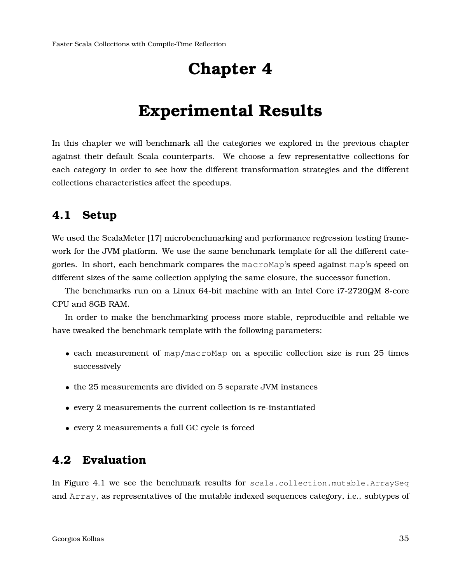## **Chapter 4**

## **Experimental Results**

<span id="page-34-0"></span>In this chapter we will benchmark all the categories we explored in the previous chapter against their default Scala counterparts. We choose a few representative collections for each category in order to see how the different transformation strategies and the different collections characteristics affect the speedups.

### <span id="page-34-1"></span>**4.1 Setup**

We used the ScalaMeter [\[17\]](#page-42-6) microbenchmarking and performance regression testing framework for the JVM platform. We use the same benchmark template for all the different categories. In short, each benchmark compares the macroMap's speed against map's speed on different sizes of the same collection applying the same closure, the successor function.

The benchmarks run on a Linux 64-bit machine with an Intel Core i7-2720QM 8-core CPU and 8GB RAM.

In order to make the benchmarking process more stable, reproducible and reliable we have tweaked the benchmark template with the following parameters:

- each measurement of map/macroMap on a specific collection size is run 25 times successively
- the 25 measurements are divided on 5 separate JVM instances
- every 2 measurements the current collection is re-instantiated
- every 2 measurements a full GC cycle is forced

### <span id="page-34-2"></span>**4.2 Evaluation**

In Figure [4.1](#page-35-0) we see the benchmark results for scala.collection.mutable.ArraySeq and Array, as representatives of the mutable indexed sequences category, i.e., subtypes of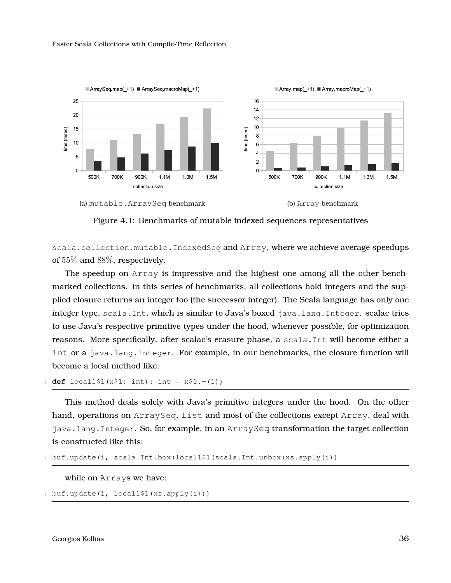<span id="page-35-0"></span>

#### (a) mutable.ArraySeq benchmark (b) Array benchmark



Figure 4.1: Benchmarks of mutable indexed sequences representatives

scala.collection.mutable.IndexedSeq and Array, where we achieve average speedups of 55% and 88%, respectively.

The speedup on Array is impressive and the highest one among all the other benchmarked collections. In this series of benchmarks, all collections hold integers and the supplied closure returns an integer too (the successor integer). The Scala language has only one integer type, scala.Int, which is similar to Java's boxed java.lang.Integer. scalac tries to use Java's respective primitive types under the hood, whenever possible, for optimization reasons. More specifically, after scalac's erasure phase, a scala.Int will become either a int or a java.lang.Integer. For example, in our benchmarks, the closure function will become a local method like:

```
def \text{local1$1(x$1: int): int = x$1+(1);}
```
This method deals solely with Java's primitive integers under the hood. On the other hand, operations on ArraySeq, List and most of the collections except Array, deal with java.lang.Integer. So, for example, in an ArraySeq transformation the target collection is constructed like this:

```
1 buf.update(i, scala.Int.box(local1$1(scala.Int.unbox(xs.apply(i))
```
while on Arrays we have:

```
buf.update(i, local1$1(xs.apply(i)))
```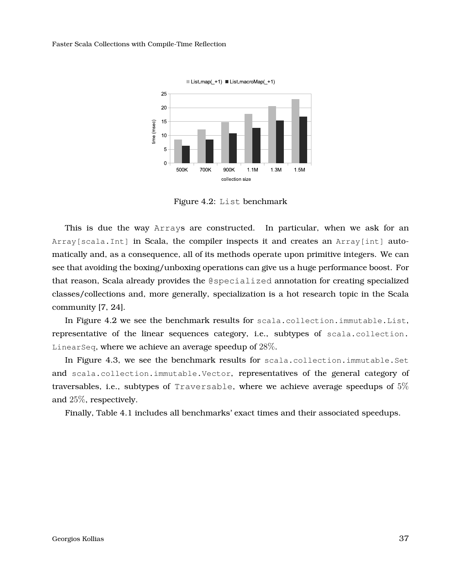<span id="page-36-0"></span>

Figure 4.2: List benchmark

This is due the way Arrays are constructed. In particular, when we ask for an Array[scala.Int] in Scala, the compiler inspects it and creates an Array[int] automatically and, as a consequence, all of its methods operate upon primitive integers. We can see that avoiding the boxing/unboxing operations can give us a huge performance boost. For that reason, Scala already provides the @specialized annotation for creating specialized classes/collections and, more generally, specialization is a hot research topic in the Scala community [\[7,](#page-41-6) [24\]](#page-43-0).

In Figure [4.2](#page-36-0) we see the benchmark results for scala.collection.immutable.List, representative of the linear sequences category, i.e., subtypes of scala.collection. LinearSeq, where we achieve an average speedup of  $28\%$ .

In Figure [4.3,](#page-37-0) we see the benchmark results for scala.collection.immutable.Set and scala.collection.immutable.Vector, representatives of the general category of traversables, i.e., subtypes of Traversable, where we achieve average speedups of  $5\%$ and 25%, respectively.

Finally, Table [4.1](#page-37-1) includes all benchmarks' exact times and their associated speedups.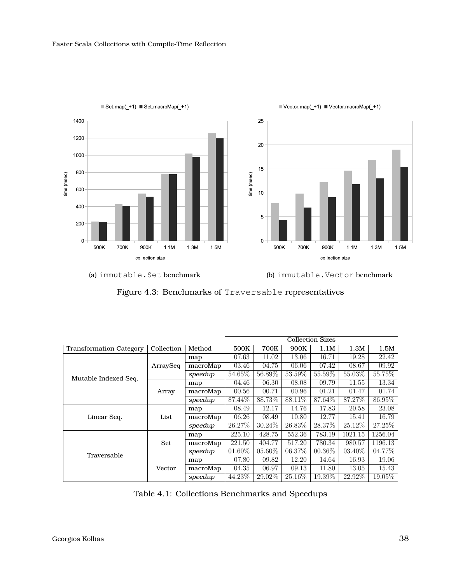<span id="page-37-0"></span>





(a) immutable.Set benchmark (b) immutable.Vector benchmark

|  | Figure 4.3: Benchmarks of Traversable representatives |  |  |
|--|-------------------------------------------------------|--|--|
|--|-------------------------------------------------------|--|--|

<span id="page-37-1"></span>

|                                | <b>Collection Sizes</b> |          |           |           |         |           |           |         |
|--------------------------------|-------------------------|----------|-----------|-----------|---------|-----------|-----------|---------|
| <b>Transformation Category</b> | Collection              | Method   | 500K      | 700K      | 900K    | 1.1M      | 1.3M      | 1.5M    |
|                                |                         | map      | 07.63     | 11.02     | 13.06   | 16.71     | 19.28     | 22.42   |
|                                | ArraySeq                | macroMap | 03.46     | 04.75     | 06.06   | 07.42     | 08.67     | 09.92   |
| Mutable Indexed Seq.           |                         | speedup  | 54.65%    | 56.89%    | 53.59%  | 55.59%    | 55.03%    | 55.75%  |
|                                | Array                   | map      | 04.46     | 06.30     | 08.08   | 09.79     | 11.55     | 13.34   |
|                                |                         | macroMap | 00.56     | 00.71     | 00.96   | 01.21     | 01.47     | 01.74   |
|                                |                         | speedup  | 87.44\%   | 88.73%    | 88.11\% | 87.64\%   | 87.27\%   | 86.95%  |
|                                | List                    | map      | 08.49     | 12.17     | 14.76   | 17.83     | 20.58     | 23.08   |
| Linear Seq.                    |                         | macroMap | 06.26     | 08.49     | 10.80   | 12.77     | 15.41     | 16.79   |
|                                |                         | speedup  | 26.27\%   | 30.24\%   | 26.83%  | 28.37\%   | 25.12\%   | 27.25%  |
|                                | Set                     | map      | 225.10    | 428.75    | 552.36  | 783.19    | 1021.15   | 1256.04 |
|                                |                         | macroMap | 221.50    | 404.77    | 517.20  | 780.34    | 980.57    | 1196.13 |
| Traversable                    |                         | speedup  | $01.60\%$ | $05.60\%$ | 06.37\% | $00.36\%$ | $03.40\%$ | 04.77%  |
|                                | Vector                  | map      | 07.80     | 09.82     | 12.20   | 14.64     | 16.93     | 19.06   |
|                                |                         | macroMap | 04.35     | 06.97     | 09.13   | 11.80     | 13.05     | 15.43   |
|                                |                         | speedup  | 44.23\%   | 29.02\%   | 25.16\% | 19.39\%   | 22.92\%   | 19.05\% |

Table 4.1: Collections Benchmarks and Speedups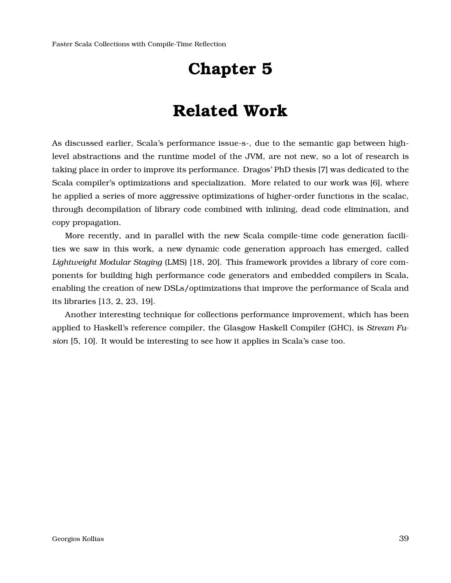## **Chapter 5**

## **Related Work**

<span id="page-38-0"></span>As discussed earlier, Scala's performance issue-s-, due to the semantic gap between highlevel abstractions and the runtime model of the JVM, are not new, so a lot of research is taking place in order to improve its performance. Dragos' PhD thesis [\[7\]](#page-41-6) was dedicated to the Scala compiler's optimizations and specialization. More related to our work was [\[6\]](#page-41-7), where he applied a series of more aggressive optimizations of higher-order functions in the scalac, through decompilation of library code combined with inlining, dead code elimination, and copy propagation.

More recently, and in parallel with the new Scala compile-time code generation facilities we saw in this work, a new dynamic code generation approach has emerged, called *Lightweight Modular Staging* (LMS) [\[18,](#page-42-7) [20\]](#page-42-8). This framework provides a library of core components for building high performance code generators and embedded compilers in Scala, enabling the creation of new DSLs/optimizations that improve the performance of Scala and its libraries [\[13,](#page-42-9) [2,](#page-41-8) [23,](#page-42-10) [19\]](#page-42-11).

Another interesting technique for collections performance improvement, which has been applied to Haskell's reference compiler, the Glasgow Haskell Compiler (GHC), is *Stream Fusion* [\[5,](#page-41-9) [10\]](#page-41-10). It would be interesting to see how it applies in Scala's case too.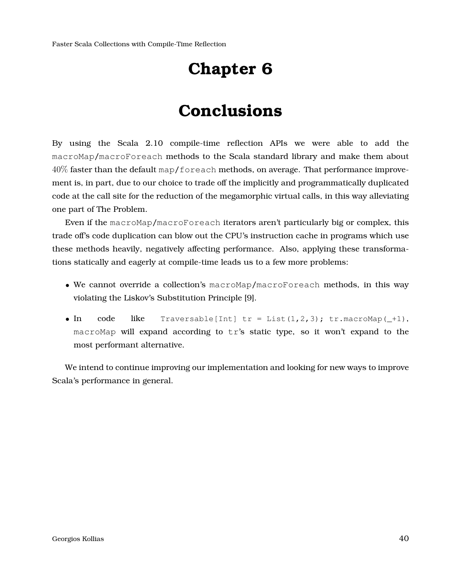# **Chapter 6**

# **Conclusions**

<span id="page-39-0"></span>By using the Scala 2.10 compile-time reflection APIs we were able to add the macroMap/macroForeach methods to the Scala standard library and make them about  $40\%$  faster than the default map/foreach methods, on average. That performance improvement is, in part, due to our choice to trade off the implicitly and programmatically duplicated code at the call site for the reduction of the megamorphic virtual calls, in this way alleviating one part of The Problem.

Even if the macroMap/macroForeach iterators aren't particularly big or complex, this trade off's code duplication can blow out the CPU's instruction cache in programs which use these methods heavily, negatively affecting performance. Also, applying these transformations statically and eagerly at compile-time leads us to a few more problems:

- We cannot override a collection's macroMap/macroForeach methods, in this way violating the Liskov's Substitution Principle [\[9\]](#page-41-11).
- In code like Traversable[Int]  $tr = List(1,2,3)$ ;  $tr.macromap(-1)$ , macroMap will expand according to tr's static type, so it won't expand to the most performant alternative.

We intend to continue improving our implementation and looking for new ways to improve Scala's performance in general.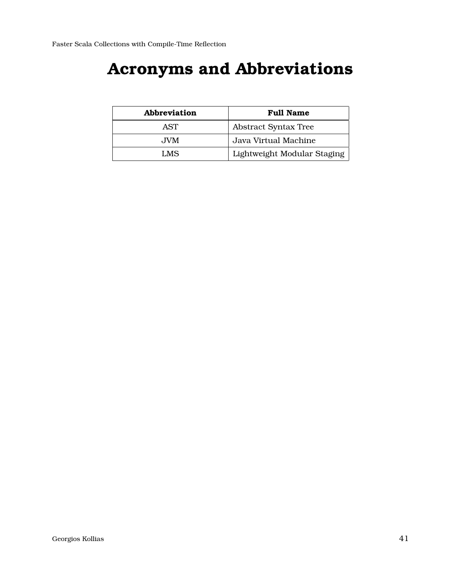# <span id="page-40-0"></span>**Acronyms and Abbreviations**

| Abbreviation | <b>Full Name</b>            |
|--------------|-----------------------------|
| AST          | <b>Abstract Syntax Tree</b> |
| JVM.         | Java Virtual Machine        |
| LMS          | Lightweight Modular Staging |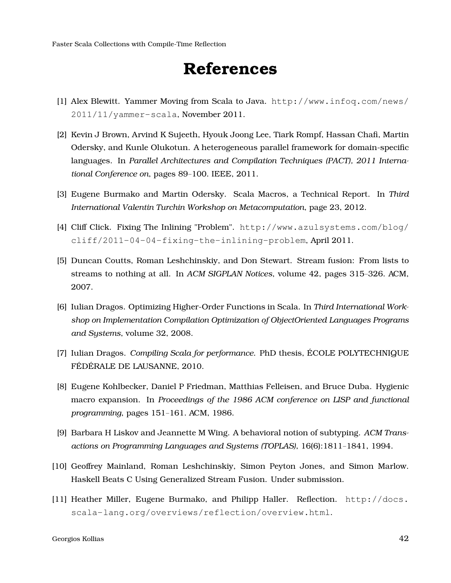# **References**

- <span id="page-41-2"></span><span id="page-41-0"></span>[1] Alex Blewitt. Yammer Moving from Scala to Java. [http://www.infoq.com/news/](http://www.infoq.com/news/2011/11/yammer-scala) [2011/11/yammer-scala](http://www.infoq.com/news/2011/11/yammer-scala), November 2011.
- <span id="page-41-8"></span>[2] Kevin J Brown, Arvind K Sujeeth, Hyouk Joong Lee, Tiark Rompf, Hassan Chafi, Martin Odersky, and Kunle Olukotun. A heterogeneous parallel framework for domain-specific languages. In *Parallel Architectures and Compilation Techniques (PACT), 2011 International Conference on*, pages 89–100. IEEE, 2011.
- <span id="page-41-4"></span>[3] Eugene Burmako and Martin Odersky. Scala Macros, a Technical Report. In *Third International Valentin Turchin Workshop on Metacomputation*, page 23, 2012.
- <span id="page-41-1"></span>[4] Cliff Click. Fixing The Inlining "Problem". [http://www.azulsystems.com/blog/](http://www.azulsystems.com/blog/cliff/2011-04-04-fixing-the-inlining-problem) [cliff/2011-04-04-fixing-the-inlining-problem](http://www.azulsystems.com/blog/cliff/2011-04-04-fixing-the-inlining-problem), April 2011.
- <span id="page-41-9"></span>[5] Duncan Coutts, Roman Leshchinskiy, and Don Stewart. Stream fusion: From lists to streams to nothing at all. In *ACM SIGPLAN Notices*, volume 42, pages 315–326. ACM, 2007.
- <span id="page-41-7"></span>[6] Iulian Dragos. Optimizing Higher-Order Functions in Scala. In *Third International Workshop on Implementation Compilation Optimization of ObjectOriented Languages Programs and Systems*, volume 32, 2008.
- <span id="page-41-6"></span>[7] Iulian Dragos. *Compiling Scala for performance*. PhD thesis, ECOLE POLYTECHNIQUE ´ FÉDÉRALE DE LAUSANNE, 2010.
- <span id="page-41-5"></span>[8] Eugene Kohlbecker, Daniel P Friedman, Matthias Felleisen, and Bruce Duba. Hygienic macro expansion. In *Proceedings of the 1986 ACM conference on LISP and functional programming*, pages 151–161. ACM, 1986.
- <span id="page-41-11"></span>[9] Barbara H Liskov and Jeannette M Wing. A behavioral notion of subtyping. *ACM Transactions on Programming Languages and Systems (TOPLAS)*, 16(6):1811–1841, 1994.
- <span id="page-41-10"></span>[10] Geoffrey Mainland, Roman Leshchinskiy, Simon Peyton Jones, and Simon Marlow. Haskell Beats C Using Generalized Stream Fusion. Under submission.
- <span id="page-41-3"></span>[11] Heather Miller, Eugene Burmako, and Philipp Haller. Reflection. [http://docs.](http://docs.scala-lang.org/overviews/reflection/overview.html) [scala-lang.org/overviews/reflection/overview.html](http://docs.scala-lang.org/overviews/reflection/overview.html).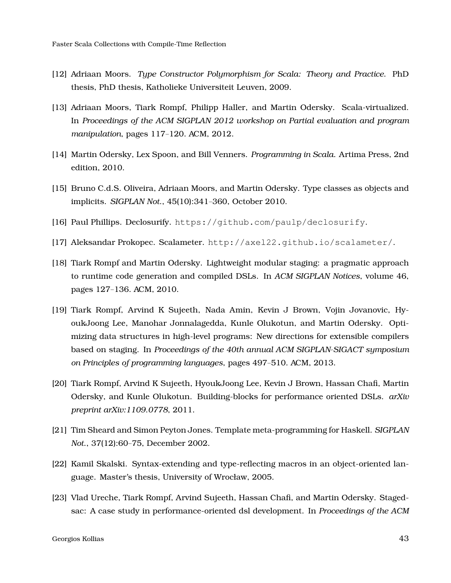- <span id="page-42-5"></span>[12] Adriaan Moors. *Type Constructor Polymorphism for Scala: Theory and Practice*. PhD thesis, PhD thesis, Katholieke Universiteit Leuven, 2009.
- <span id="page-42-9"></span>[13] Adriaan Moors, Tiark Rompf, Philipp Haller, and Martin Odersky. Scala-virtualized. In *Proceedings of the ACM SIGPLAN 2012 workshop on Partial evaluation and program manipulation*, pages 117–120. ACM, 2012.
- <span id="page-42-1"></span>[14] Martin Odersky, Lex Spoon, and Bill Venners. *Programming in Scala*. Artima Press, 2nd edition, 2010.
- <span id="page-42-4"></span>[15] Bruno C.d.S. Oliveira, Adriaan Moors, and Martin Odersky. Type classes as objects and implicits. *SIGPLAN Not.*, 45(10):341–360, October 2010.
- <span id="page-42-0"></span>[16] Paul Phillips. Declosurify. <https://github.com/paulp/declosurify>.
- <span id="page-42-6"></span>[17] Aleksandar Prokopec. Scalameter. <http://axel22.github.io/scalameter/>.
- <span id="page-42-7"></span>[18] Tiark Rompf and Martin Odersky. Lightweight modular staging: a pragmatic approach to runtime code generation and compiled DSLs. In *ACM SIGPLAN Notices*, volume 46, pages 127–136. ACM, 2010.
- <span id="page-42-11"></span>[19] Tiark Rompf, Arvind K Sujeeth, Nada Amin, Kevin J Brown, Vojin Jovanovic, HyoukJoong Lee, Manohar Jonnalagedda, Kunle Olukotun, and Martin Odersky. Optimizing data structures in high-level programs: New directions for extensible compilers based on staging. In *Proceedings of the 40th annual ACM SIGPLAN-SIGACT symposium on Principles of programming languages*, pages 497–510. ACM, 2013.
- <span id="page-42-8"></span>[20] Tiark Rompf, Arvind K Sujeeth, HyoukJoong Lee, Kevin J Brown, Hassan Chafi, Martin Odersky, and Kunle Olukotun. Building-blocks for performance oriented DSLs. *arXiv preprint arXiv:1109.0778*, 2011.
- <span id="page-42-2"></span>[21] Tim Sheard and Simon Peyton Jones. Template meta-programming for Haskell. *SIGPLAN Not.*, 37(12):60–75, December 2002.
- <span id="page-42-3"></span>[22] Kamil Skalski. Syntax-extending and type-reflecting macros in an object-oriented language. Master's thesis, University of Wrocław, 2005.
- <span id="page-42-10"></span>[23] Vlad Ureche, Tiark Rompf, Arvind Sujeeth, Hassan Chafi, and Martin Odersky. Stagedsac: A case study in performance-oriented dsl development. In *Proceedings of the ACM*